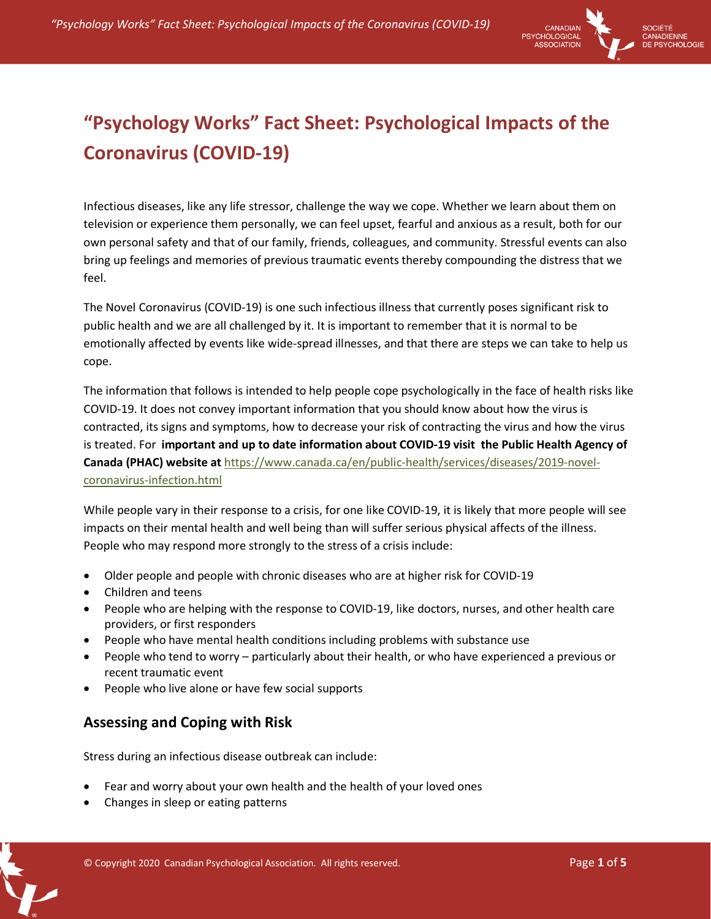

# **"Psychology Works" Fact Sheet: Psychological Impacts of the Coronavirus (COVID-19)**

Infectious diseases, like any life stressor, challenge the way we cope. Whether we learn about them on television or experience them personally, we can feel upset, fearful and anxious as a result, both for our own personal safety and that of our family, friends, colleagues, and community. Stressful events can also bring up feelings and memories of previous traumatic events thereby compounding the distress that we feel.

The Novel Coronavirus (COVID-19) is one such infectious illness that currently poses significant risk to public health and we are all challenged by it. It is important to remember that it is normal to be emotionally affected by events like wide-spread illnesses, and that there are steps we can take to help us cope.

The information that follows is intended to help people cope psychologically in the face of health risks like COVID-19. It does not convey important information that you should know about how the virus is contracted, its signs and symptoms, how to decrease your risk of contracting the virus and how the virus is treated. For **important and up to date information about COVID-19 visit the Public Health Agency of Canada (PHAC) website at** https://www.canada.ca/en/public-health/services/diseases/2019-novelcoronavirus-infection.html

While people vary in their response to a crisis, for one like COVID-19, it is likely that more people will see impacts on their mental health and well being than will suffer serious physical affects of the illness. People who may respond more strongly to the stress of a crisis include:

- Older people and people with chronic diseases who are at higher risk for COVID-19
- Children and teens
- People who are helping with the response to COVID-19, like doctors, nurses, and other health care providers, or first responders
- People who have mental health conditions including problems with substance use
- People who tend to worry particularly about their health, or who have experienced a previous or recent traumatic event
- People who live alone or have few social supports

## **Assessing and Coping with Risk**

Stress during an infectious disease outbreak can include:

- Fear and worry about your own health and the health of your loved ones
- Changes in sleep or eating patterns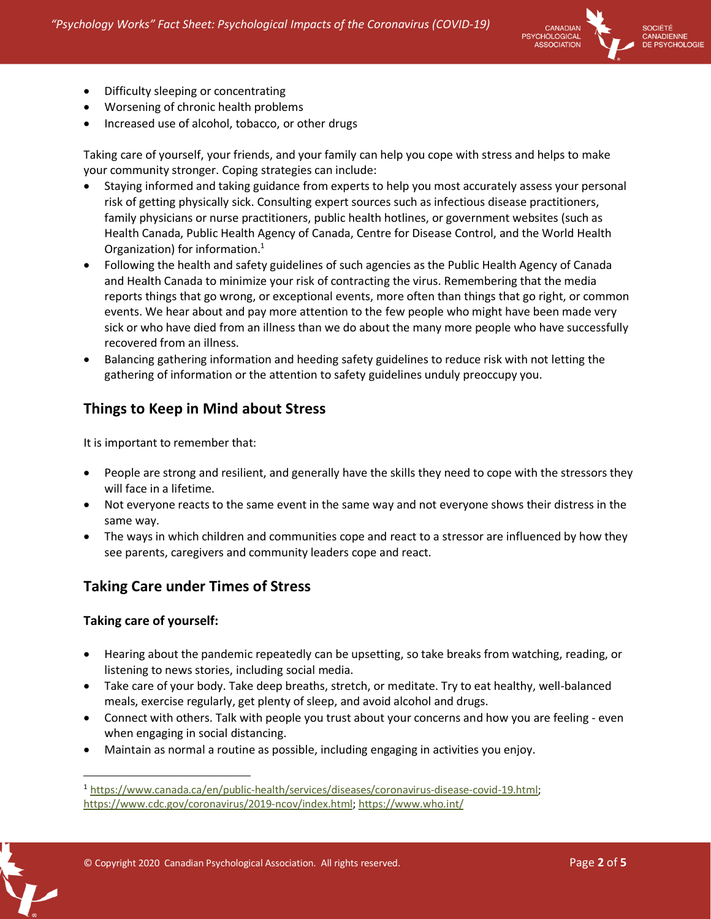

SOCIÉTÉ CANADIENNE **PSYCHOLOGIE** 

- Difficulty sleeping or concentrating
- Worsening of chronic health problems
- Increased use of alcohol, tobacco, or other drugs

Taking care of yourself, your friends, and your family can help you cope with stress and helps to make your community stronger. Coping strategies can include:

- Staying informed and taking guidance from experts to help you most accurately assess your personal risk of getting physically sick. Consulting expert sources such as infectious disease practitioners, family physicians or nurse practitioners, public health hotlines, or government websites (such as Health Canada, Public Health Agency of Canada, Centre for Disease Control, and the World Health Organization) for information.1
- Following the health and safety guidelines of such agencies as the Public Health Agency of Canada and Health Canada to minimize your risk of contracting the virus. Remembering that the media reports things that go wrong, or exceptional events, more often than things that go right, or common events. We hear about and pay more attention to the few people who might have been made very sick or who have died from an illness than we do about the many more people who have successfully recovered from an illness.
- Balancing gathering information and heeding safety guidelines to reduce risk with not letting the gathering of information or the attention to safety guidelines unduly preoccupy you.

## **Things to Keep in Mind about Stress**

It is important to remember that:

- People are strong and resilient, and generally have the skills they need to cope with the stressors they will face in a lifetime.
- Not everyone reacts to the same event in the same way and not everyone shows their distress in the same way.
- The ways in which children and communities cope and react to a stressor are influenced by how they see parents, caregivers and community leaders cope and react.

## **Taking Care under Times of Stress**

#### **Taking care of yourself:**

- Hearing about the pandemic repeatedly can be upsetting, so take breaks from watching, reading, or listening to news stories, including social media.
- Take care of your body. Take deep breaths, stretch, or meditate. Try to eat healthy, well-balanced meals, exercise regularly, get plenty of sleep, and avoid alcohol and drugs.
- Connect with others. Talk with people you trust about your concerns and how you are feeling even when engaging in social distancing.
- Maintain as normal a routine as possible, including engaging in activities you enjoy.

© Copyright 2020 Canadian Psychological Association. All rights reserved. Page **2** of **5**

<sup>1</sup> https://www.canada.ca/en/public-health/services/diseases/coronavirus-disease-covid-19.html; https://www.cdc.gov/coronavirus/2019-ncov/index.html; https://www.who.int/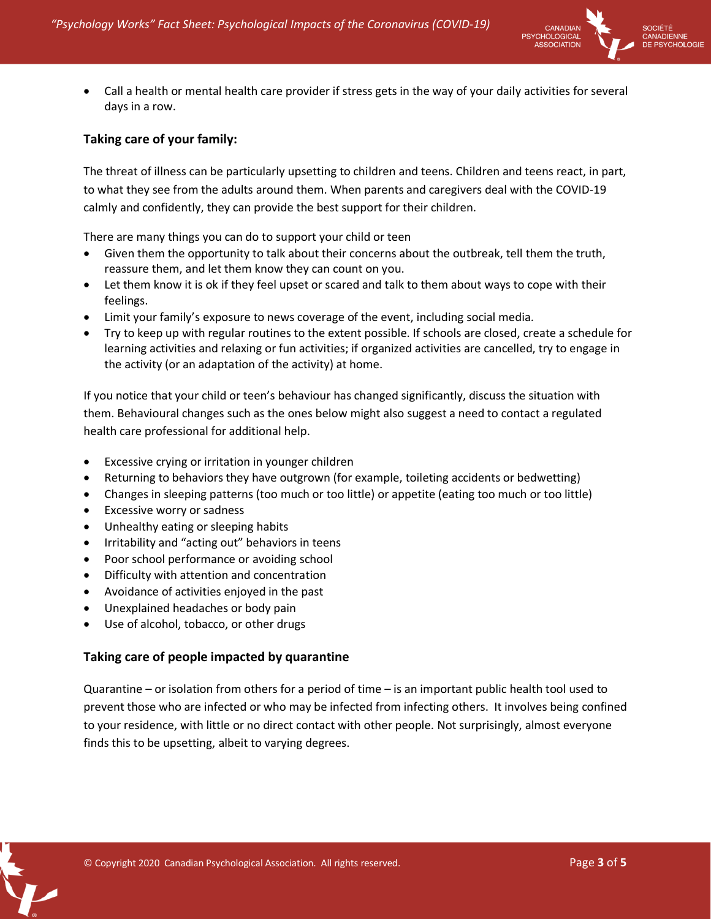

 Call a health or mental health care provider if stress gets in the way of your daily activities for several days in a row.

#### **Taking care of your family:**

The threat of illness can be particularly upsetting to children and teens. Children and teens react, in part, to what they see from the adults around them. When parents and caregivers deal with the COVID-19 calmly and confidently, they can provide the best support for their children.

There are many things you can do to support your child or teen

- Given them the opportunity to talk about their concerns about the outbreak, tell them the truth, reassure them, and let them know they can count on you.
- Let them know it is ok if they feel upset or scared and talk to them about ways to cope with their feelings.
- Limit your family's exposure to news coverage of the event, including social media.
- Try to keep up with regular routines to the extent possible. If schools are closed, create a schedule for learning activities and relaxing or fun activities; if organized activities are cancelled, try to engage in the activity (or an adaptation of the activity) at home.

If you notice that your child or teen's behaviour has changed significantly, discuss the situation with them. Behavioural changes such as the ones below might also suggest a need to contact a regulated health care professional for additional help.

- Excessive crying or irritation in younger children
- Returning to behaviors they have outgrown (for example, toileting accidents or bedwetting)
- Changes in sleeping patterns (too much or too little) or appetite (eating too much or too little)
- **•** Excessive worry or sadness
- Unhealthy eating or sleeping habits
- Irritability and "acting out" behaviors in teens
- Poor school performance or avoiding school
- Difficulty with attention and concentration
- Avoidance of activities enjoyed in the past
- Unexplained headaches or body pain
- Use of alcohol, tobacco, or other drugs

#### **Taking care of people impacted by quarantine**

Quarantine – or isolation from others for a period of time – is an important public health tool used to prevent those who are infected or who may be infected from infecting others. It involves being confined to your residence, with little or no direct contact with other people. Not surprisingly, almost everyone finds this to be upsetting, albeit to varying degrees.

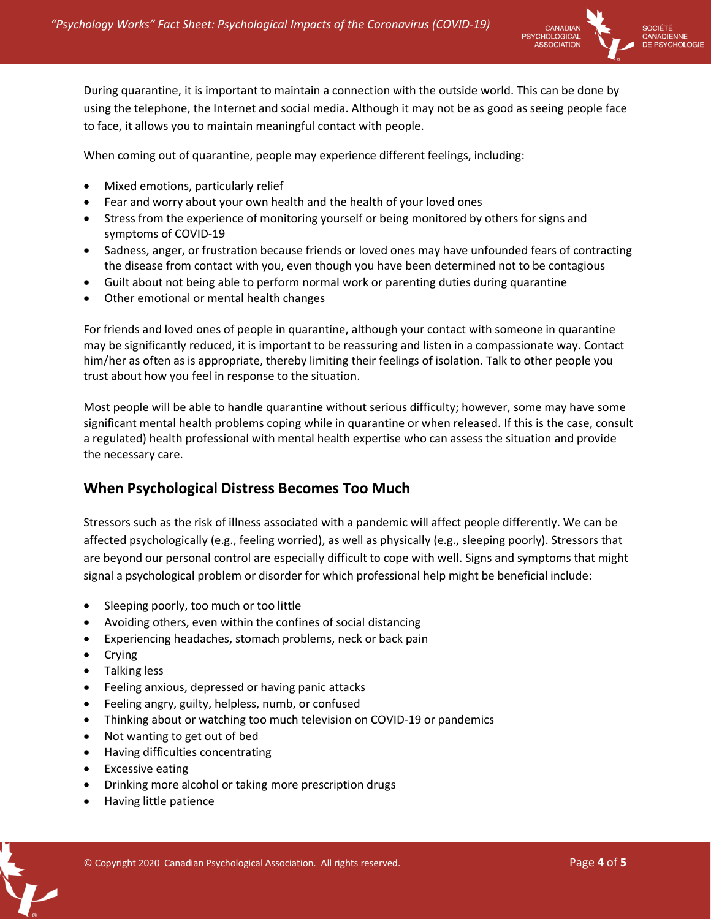

During quarantine, it is important to maintain a connection with the outside world. This can be done by using the telephone, the Internet and social media. Although it may not be as good as seeing people face to face, it allows you to maintain meaningful contact with people.

When coming out of quarantine, people may experience different feelings, including:

- Mixed emotions, particularly relief
- Fear and worry about your own health and the health of your loved ones
- Stress from the experience of monitoring yourself or being monitored by others for signs and symptoms of COVID-19
- Sadness, anger, or frustration because friends or loved ones may have unfounded fears of contracting the disease from contact with you, even though you have been determined not to be contagious
- Guilt about not being able to perform normal work or parenting duties during quarantine
- Other emotional or mental health changes

For friends and loved ones of people in quarantine, although your contact with someone in quarantine may be significantly reduced, it is important to be reassuring and listen in a compassionate way. Contact him/her as often as is appropriate, thereby limiting their feelings of isolation. Talk to other people you trust about how you feel in response to the situation.

Most people will be able to handle quarantine without serious difficulty; however, some may have some significant mental health problems coping while in quarantine or when released. If this is the case, consult a regulated) health professional with mental health expertise who can assess the situation and provide the necessary care.

### **When Psychological Distress Becomes Too Much**

Stressors such as the risk of illness associated with a pandemic will affect people differently. We can be affected psychologically (e.g., feeling worried), as well as physically (e.g., sleeping poorly). Stressors that are beyond our personal control are especially difficult to cope with well. Signs and symptoms that might signal a psychological problem or disorder for which professional help might be beneficial include:

- Sleeping poorly, too much or too little
- Avoiding others, even within the confines of social distancing
- Experiencing headaches, stomach problems, neck or back pain
- Crying
- Talking less
- Feeling anxious, depressed or having panic attacks
- Feeling angry, guilty, helpless, numb, or confused
- Thinking about or watching too much television on COVID-19 or pandemics
- Not wanting to get out of bed
- Having difficulties concentrating
- Excessive eating
- Drinking more alcohol or taking more prescription drugs
- Having little patience